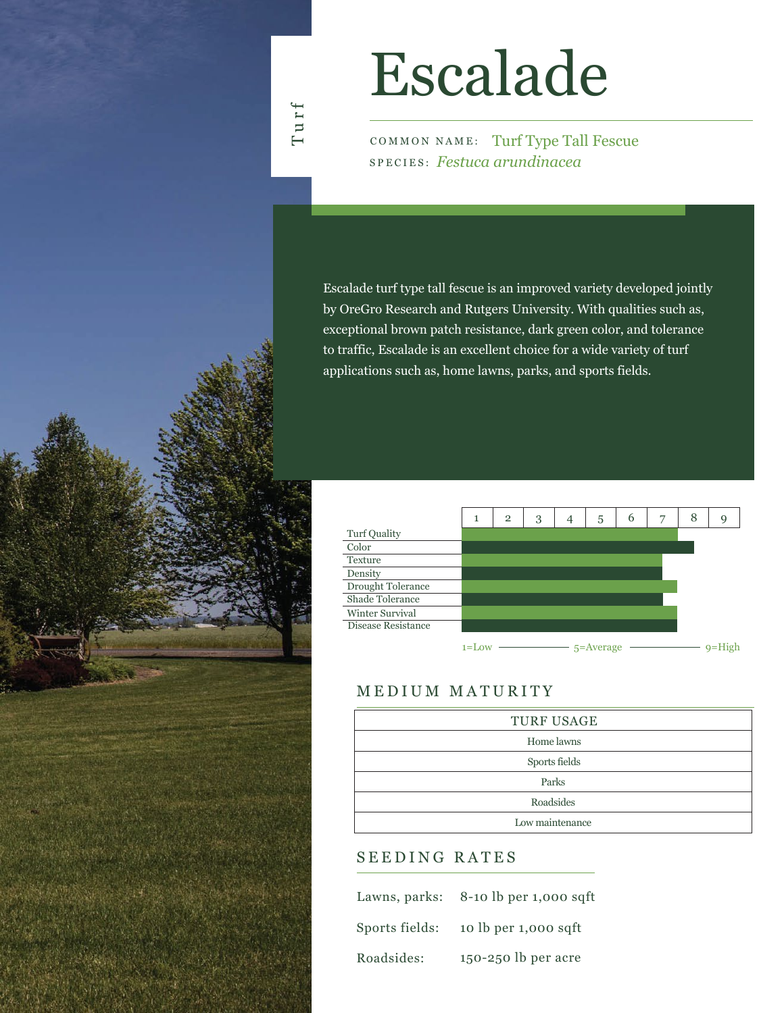## Turf

# Escalade

COMMON NAME: Turf Type Tall Fescue SPECIES: *Festuca arundinacea*

Escalade turf type tall fescue is an improved variety developed jointly by OreGro Research and Rutgers University. With qualities such as, exceptional brown patch resistance, dark green color, and tolerance to traffic, Escalade is an excellent choice for a wide variety of turf applications such as, home lawns, parks, and sports fields.



### MEDIUM MATURITY

| <b>TURF USAGE</b> |
|-------------------|
| Home lawns        |
| Sports fields     |
| Parks             |
| Roadsides         |
| Low maintenance   |

#### SEEDING RATES

|                | Lawns, parks: $8-10$ lb per 1,000 sqft |
|----------------|----------------------------------------|
| Sports fields: | 10 lb per 1,000 sqft                   |
| Roadsides:     | 150-250 lb per acre                    |